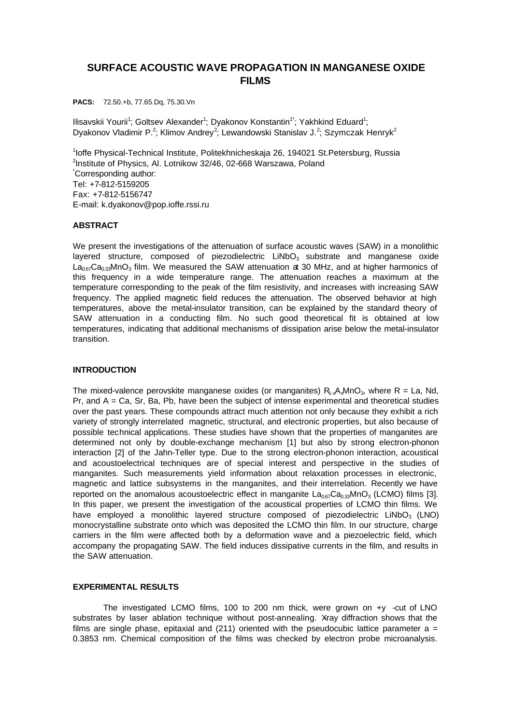# **SURFACE ACOUSTIC WAVE PROPAGATION IN MANGANESE OXIDE FILMS**

**PACS:** 72.50.+b, 77.65.Dq, 75.30.Vn

llisavskii Yourii<sup>1</sup>; Goltsev Alexander<sup>1</sup>; Dyakonov Konstantin<sup>1\*</sup>; Yakhkind Eduard<sup>1</sup>; Dyakonov Vladimir P.<sup>2</sup>; Klimov Andrey<sup>2</sup>; Lewandowski Stanislav J.<sup>2</sup>; Szymczak Henryk<sup>2</sup>

<sup>1</sup>loffe Physical-Technical Institute, Politekhnicheskaja 26, 194021 St.Petersburg, Russia <sup>2</sup>Institute of Physics, Al. Lotnikow 32/46, 02-668 Warszawa, Poland \*Corresponding author: Tel: +7-812-5159205 Fax: +7-812-5156747 E-mail: k.dyakonov@pop.ioffe.rssi.ru

## **ABSTRACT**

We present the investigations of the attenuation of surface acoustic waves (SAW) in a monolithic layered structure, composed of piezodielectric  $LiNbO<sub>3</sub>$  substrate and manganese oxide  $La<sub>0.67</sub>Ca<sub>0.33</sub>MnO<sub>3</sub> film. We measured the SAW attenuation at 30 MHz, and at higher harmonics of$ this frequency in a wide temperature range. The attenuation reaches a maximum at the temperature corresponding to the peak of the film resistivity, and increases with increasing SAW frequency. The applied magnetic field reduces the attenuation. The observed behavior at high temperatures, above the metal-insulator transition, can be explained by the standard theory of SAW attenuation in a conducting film. No such good theoretical fit is obtained at low temperatures, indicating that additional mechanisms of dissipation arise below the metal-insulator transition.

## **INTRODUCTION**

The mixed-valence perovskite manganese oxides (or manganites)  $R_{1-x}A_xMnO_3$ , where R = La, Nd, Pr, and  $A = Ca$ , Sr, Ba, Pb, have been the subject of intense experimental and theoretical studies over the past years. These compounds attract much attention not only because they exhibit a rich variety of strongly interrelated magnetic, structural, and electronic properties, but also because of possible technical applications. These studies have shown that the properties of manganites are determined not only by double-exchange mechanism [1] but also by strong electron-phonon interaction [2] of the Jahn-Teller type. Due to the strong electron-phonon interaction, acoustical and acoustoelectrical techniques are of special interest and perspective in the studies of manganites. Such measurements yield information about relaxation processes in electronic, magnetic and lattice subsystems in the manganites, and their interrelation. Recently we have reported on the anomalous acoustoelectric effect in manganite  $La_{0.67}Ca_{0.33}MnO_3$  (LCMO) films [3]. In this paper, we present the investigation of the acoustical properties of LCMO thin films. We have employed a monolithic layered structure composed of piezodielectric  $LIND_3$  (LNO) monocrystalline substrate onto which was deposited the LCMO thin film. In our structure, charge carriers in the film were affected both by a deformation wave and a piezoelectric field, which accompany the propagating SAW. The field induces dissipative currents in the film, and results in the SAW attenuation.

#### **EXPERIMENTAL RESULTS**

The investigated LCMO films, 100 to 200 nm thick, were grown on +y -cut of LNO substrates by laser ablation technique without post-annealing. Xray diffraction shows that the films are single phase, epitaxial and (211) oriented with the pseudocubic lattice parameter  $a =$ 0.3853 nm. Chemical composition of the films was checked by electron probe microanalysis.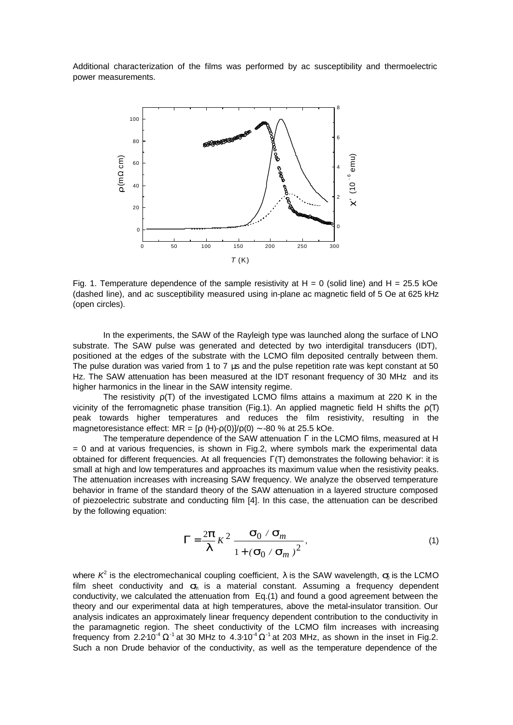Additional characterization of the films was performed by ac susceptibility and thermoelectric power measurements.



Fig. 1. Temperature dependence of the sample resistivity at  $H = 0$  (solid line) and  $H = 25.5$  kOe (dashed line), and ac susceptibility measured using in-plane ac magnetic field of 5 Oe at 625 kHz (open circles).

In the experiments, the SAW of the Rayleigh type was launched along the surface of LNO substrate. The SAW pulse was generated and detected by two interdigital transducers (IDT), positioned at the edges of the substrate with the LCMO film deposited centrally between them. The pulse duration was varied from 1 to 7 μs and the pulse repetition rate was kept constant at 50 Hz. The SAW attenuation has been measured at the IDT resonant frequency of 30 MHz and its higher harmonics in the linear in the SAW intensity regime.

The resistivity  $p(T)$  of the investigated LCMO films attains a maximum at 220 K in the vicinity of the ferromagnetic phase transition (Fig.1). An applied magnetic field H shifts the  $p(T)$ peak towards higher temperatures and reduces the film resistivity, resulting in the magnetoresistance effect: MR =  $[\rho (H)-\rho(0)]/\rho(0) \sim -80$  % at 25.5 kOe.

The temperature dependence of the SAW attenuation Γ in the LCMO films, measured at H  $= 0$  and at various frequencies, is shown in Fig.2, where symbols mark the experimental data obtained for different frequencies. At all frequencies Γ(T) demonstrates the following behavior: it is small at high and low temperatures and approaches its maximum value when the resistivity peaks. The attenuation increases with increasing SAW frequency. We analyze the observed temperature behavior in frame of the standard theory of the SAW attenuation in a layered structure composed of piezoelectric substrate and conducting film [4]. In this case, the attenuation can be described by the following equation:

$$
\mathbf{G} = \frac{2\mathbf{p}}{\mathbf{I}} K^2 \frac{\mathbf{S}_0 / \mathbf{S}_m}{1 + (\mathbf{S}_0 / \mathbf{S}_m)^2},
$$
\n(1)

where  $K^2$  is the electromechanical coupling coefficient,  $\lambda$  is the SAW wavelength,  $s$  is the LCMO film sheet conductivity and *s*m is a material constant. Assuming a frequency dependent conductivity, we calculated the attenuation from Eq.(1) and found a good agreement between the theory and our experimental data at high temperatures, above the metal-insulator transition. Our analysis indicates an approximately linear frequency dependent contribution to the conductivity in the paramagnetic region. The sheet conductivity of the LCMO film increases with increasing frequency from 2.2⋅10<sup>-4</sup>  $\Omega$ <sup>-1</sup> at 30 MHz to 4.3⋅10<sup>-4</sup>  $\Omega$ <sup>-1</sup> at 203 MHz, as shown in the inset in Fig.2. Such a non Drude behavior of the conductivity, as well as the temperature dependence of the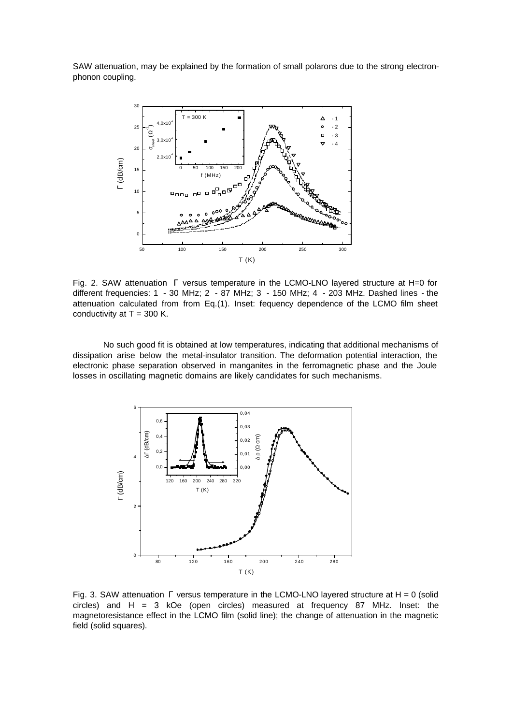SAW attenuation, may be explained by the formation of small polarons due to the strong electronphonon coupling.



Fig. 2. SAW attenuation Γ versus temperature in the LCMO-LNO layered structure at H=0 for different frequencies: 1 - 30 MHz; 2 - 87 MHz; 3 - 150 MHz; 4 - 203 MHz. Dashed lines - the attenuation calculated from from Eq.(1). Inset: fequency dependence of the LCMO film sheet conductivity at  $T = 300$  K.

No such good fit is obtained at low temperatures, indicating that additional mechanisms of dissipation arise below the metal-insulator transition. The deformation potential interaction, the electronic phase separation observed in manganites in the ferromagnetic phase and the Joule losses in oscillating magnetic domains are likely candidates for such mechanisms.



Fig. 3. SAW attenuation  $\Gamma$  versus temperature in the LCMO-LNO layered structure at H = 0 (solid circles) and H = 3 kOe (open circles) measured at frequency 87 MHz. Inset: the magnetoresistance effect in the LCMO film (solid line); the change of attenuation in the magnetic field (solid squares).